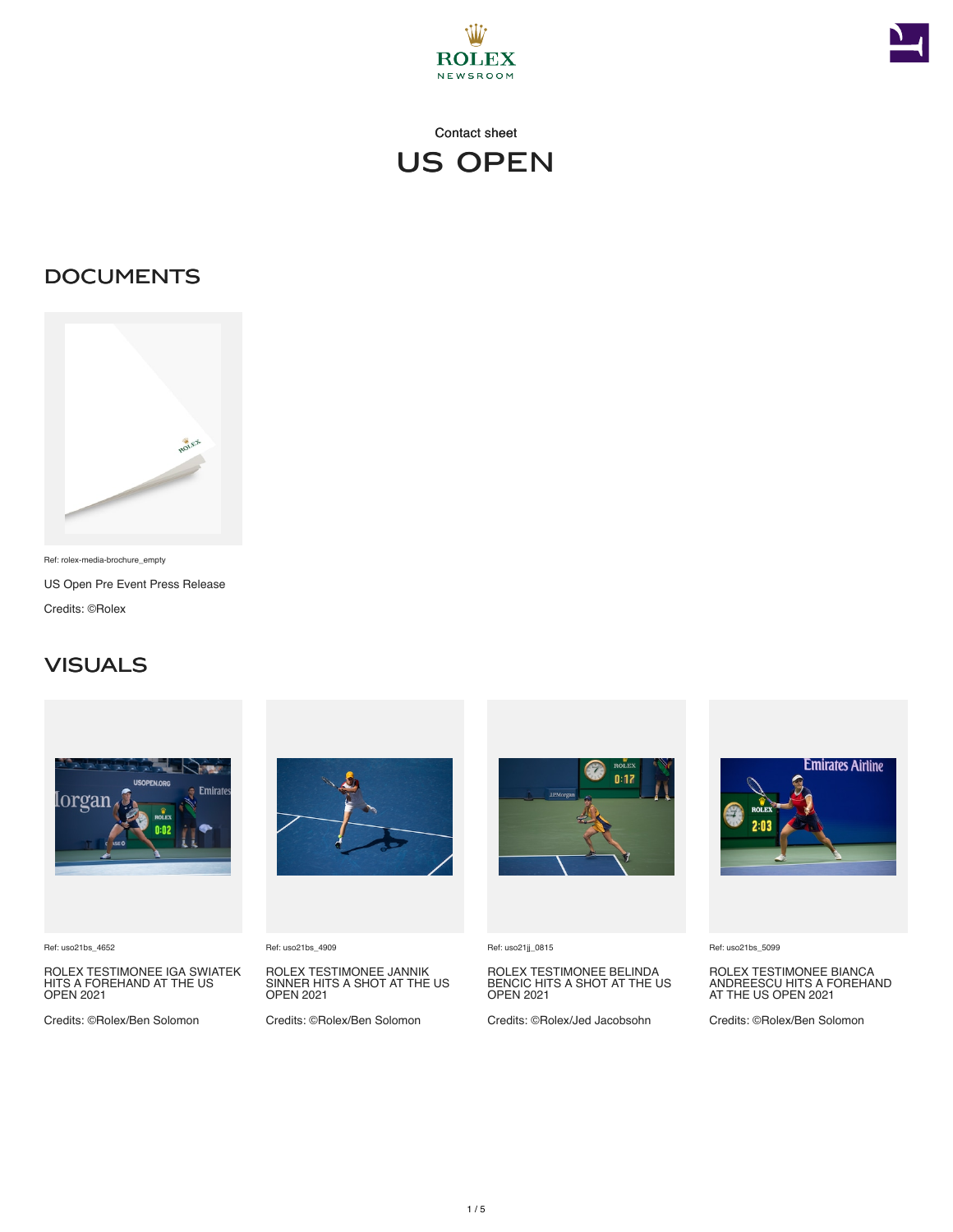



### **DOCUMENTS**



Ref: rolex-media-brochure\_empty US Open Pre Event Press Release Credits: ©Rolex

#### **VISUALS**



Ref: uso21bs\_4652

ROLEX TESTIMONEE IGA SWIATEK HITS A FOREHAND AT THE US OPEN 2021

Credits: ©Rolex/Ben Solomon



Ref: uso21bs\_4909

ROLEX TESTIMONEE JANNIK SINNER HITS A SHOT AT THE US OPEN 2021

Credits: ©Rolex/Ben Solomon



Ref: uso21jj\_0815

ROLEX TESTIMONEE BELINDA BENCIC HITS A SHOT AT THE US OPEN 2021

Credits: ©Rolex/Jed Jacobsohn



Ref: uso21bs\_5099

ROLEX TESTIMONEE BIANCA ANDREESCU HITS A FOREHAND AT THE US OPEN 2021

Credits: ©Rolex/Ben Solomon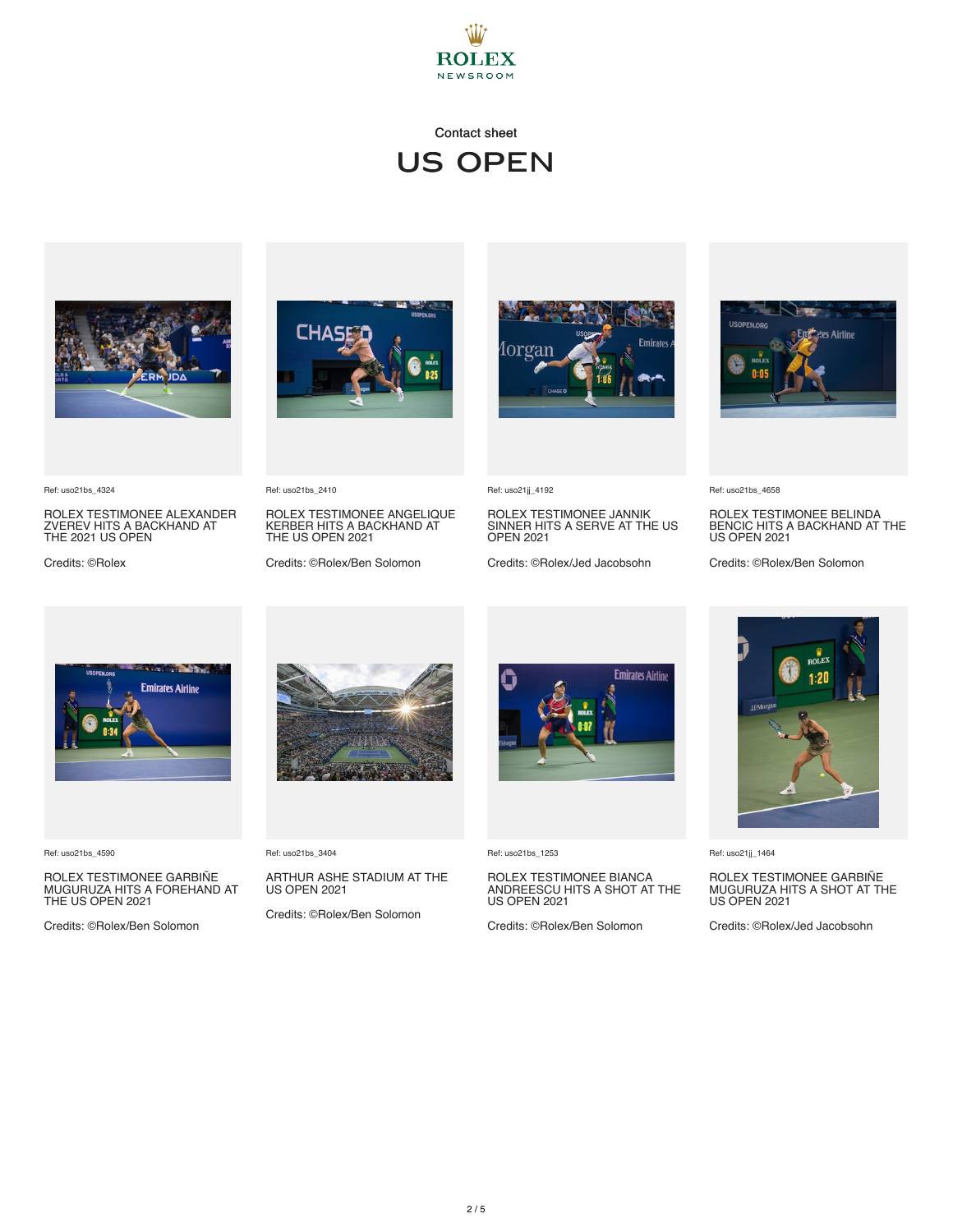



ROLEX TESTIMONEE ALEXANDER ZVEREV HITS A BACKHAND AT THE 2021 US OPEN

ROLEX TESTIMONEE ANGELIQUE KERBER HITS A BACKHAND AT THE US OPEN 2021

Credits: ©Rolex/Ben Solomon



Ref: uso21jj\_4192

ROLEX TESTIMONEE JANNIK SINNER HITS A SERVE AT THE US OPEN 2021

Credits: ©Rolex/Jed Jacobsohn



Ref: uso21bs\_4658

ROLEX TESTIMONEE BELINDA BENCIC HITS A BACKHAND AT THE US OPEN 2021

Credits: ©Rolex/Ben Solomon



Ref: uso21bs\_4590

Ref: uso21bs\_4324

Credits: ©Rolex

ROLEX TESTIMONEE GARBINE<br>MUGURUZA HITS A FOREHAND AT<br>THE US OPEN 2021

Credits: ©Rolex/Ben Solomon



Ref: uso21bs\_3404

Ref: uso21bs\_2410

ARTHUR ASHE STADIUM AT THE US OPEN 2021

Credits: ©Rolex/Ben Solomon



Ref: uso21bs\_1253

ROLEX TESTIMONEE BIANCA ANDREESCU HITS A SHOT AT THE US OPEN 2021

Credits: ©Rolex/Ben Solomon



Ref: uso21jj\_1464

ROLEX TESTIMONEE GARBINE<br>MUGURUZA HITS A SHOT AT THE<br>US OPEN 2021

Credits: ©Rolex/Jed Jacobsohn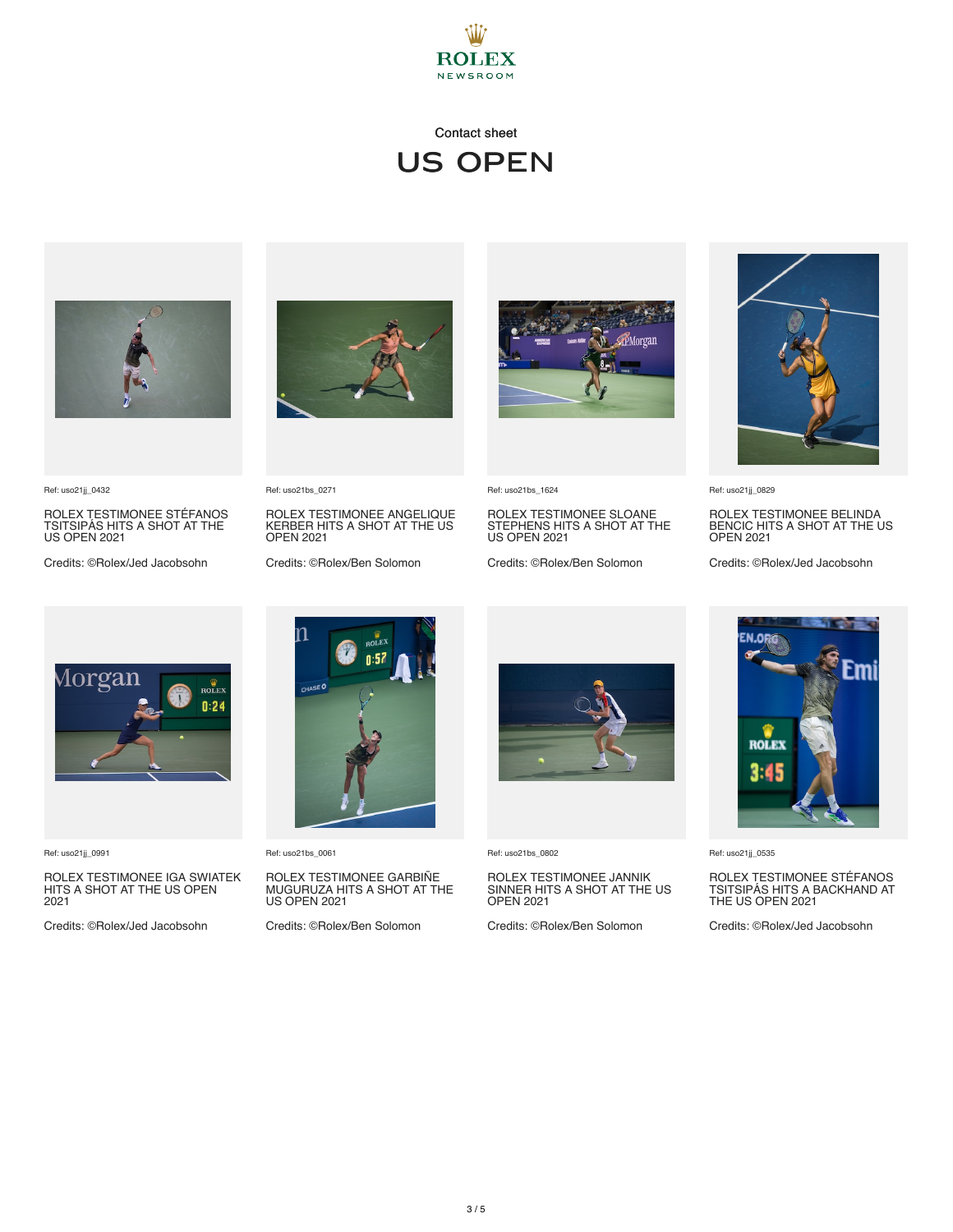



Ref: uso21jj\_0432

ROLEX TESTIMONEE STÉFANOS TSITSIPÁS HITS A SHOT AT THE US OPEN 2021

Credits: ©Rolex/Jed Jacobsohn



Ref: uso21bs\_0271

ROLEX TESTIMONEE ANGELIQUE KERBER HITS A SHOT AT THE US OPEN 2021

Credits: ©Rolex/Ben Solomon



Ref: uso21bs\_1624

ROLEX TESTIMONEE SLOANE STEPHENS HITS A SHOT AT THE US OPEN 2021

Credits: ©Rolex/Ben Solomon



Ref: uso21jj\_0829

ROLEX TESTIMONEE BELINDA BENCIC HITS A SHOT AT THE US OPEN 2021

Credits: ©Rolex/Jed Jacobsohn



Ref: uso21jj\_0991

ROLEX TESTIMONEE IGA SWIATEK HITS A SHOT AT THE US OPEN 2021

Credits: ©Rolex/Jed Jacobsohn



Ref: uso21bs\_0061

ROLEX TESTIMONEE GARBINE<br>MUGURUZA HITS A SHOT AT THE<br>US OPEN 2021

Credits: ©Rolex/Ben Solomon



Ref: uso21bs\_0802

ROLEX TESTIMONEE JANNIK SINNER HITS A SHOT AT THE US OPEN 2021

Credits: ©Rolex/Ben Solomon



Ref: uso21jj\_0535

ROLEX TESTIMONEE STÉFANOS TSITSIPÁS HITS A BACKHAND AT THE US OPEN 2021

Credits: ©Rolex/Jed Jacobsohn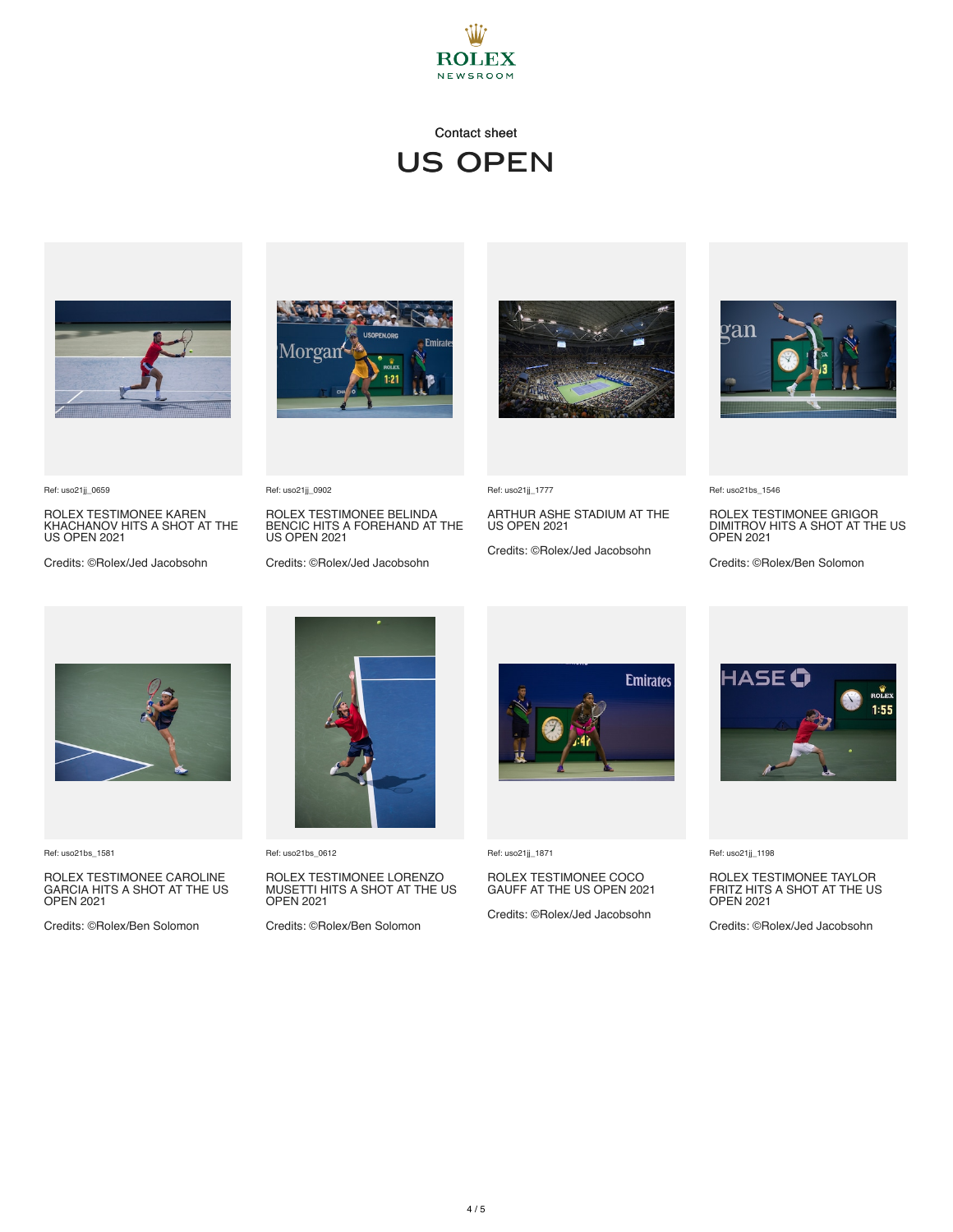



ROLEX TESTIMONEE KAREN KHACHANOV HITS A SHOT AT THE US OPEN 2021

Credits: ©Rolex/Jed Jacobsohn



ROLEX TESTIMONEE BELINDA BENCIC HITS A FOREHAND AT THE US OPEN 2021

Credits: ©Rolex/Jed Jacobsohn





Ref: uso21jj\_1777

ARTHUR ASHE STADIUM AT THE US OPEN 2021

Credits: ©Rolex/Jed Jacobsohn



Ref: uso21bs\_1546

ROLEX TESTIMONEE GRIGOR DIMITROV HITS A SHOT AT THE US OPEN 2021

Credits: ©Rolex/Ben Solomon



Ref: uso21bs\_1581

Ref: uso21jj\_0659

ROLEX TESTIMONEE CAROLINE GARCIA HITS A SHOT AT THE US OPEN 2021

Credits: ©Rolex/Ben Solomon



Ref: uso21bs\_0612

Ref: uso21jj\_0902

ROLEX TESTIMONEE LORENZO MUSETTI HITS A SHOT AT THE US OPEN 2021

Credits: ©Rolex/Ben Solomon



Ref: uso21jj\_1871

## ROLEX TESTIMONEE COCO GAUFF AT THE US OPEN 2021

Credits: ©Rolex/Jed Jacobsohn



Ref: uso21jj\_1198

# ROLEX TESTIMONEE TAYLOR FRITZ HITS A SHOT AT THE US OPEN 2021

Credits: ©Rolex/Jed Jacobsohn